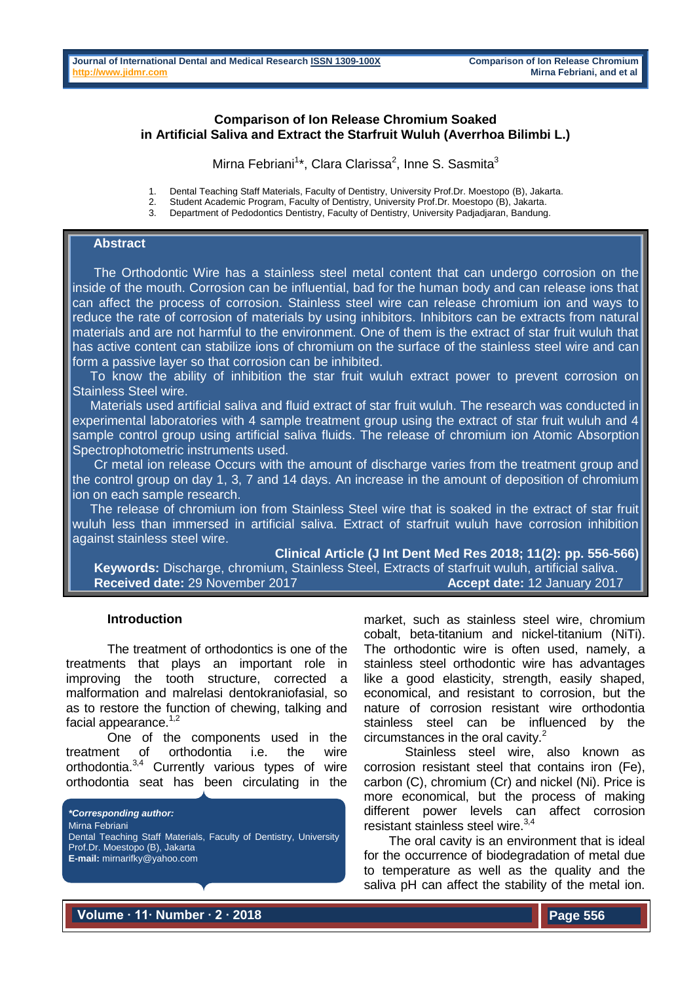## **Comparison of Ion Release Chromium Soaked in Artificial Saliva and Extract the Starfruit Wuluh (Averrhoa Bilimbi L.)**

Mirna Febriani<sup>1\*</sup>, Clara Clarissa<sup>2</sup>, Inne S. Sasmita<sup>3</sup>

1. Dental Teaching Staff Materials, Faculty of Dentistry, University Prof.Dr. Moestopo (B), Jakarta.

2. Student Academic Program, Faculty of Dentistry, University Prof.Dr. Moestopo (B), Jakarta.

Department of Pedodontics Dentistry, Faculty of Dentistry, University Padiadiaran, Bandung.

## **Abstract**

 The Orthodontic Wire has a stainless steel metal content that can undergo corrosion on the inside of the mouth. Corrosion can be influential, bad for the human body and can release ions that can affect the process of corrosion. Stainless steel wire can release chromium ion and ways to reduce the rate of corrosion of materials by using inhibitors. Inhibitors can be extracts from natural materials and are not harmful to the environment. One of them is the extract of star fruit wuluh that has active content can stabilize ions of chromium on the surface of the stainless steel wire and can form a passive layer so that corrosion can be inhibited.

 To know the ability of inhibition the star fruit wuluh extract power to prevent corrosion on Stainless Steel wire.

 Materials used artificial saliva and fluid extract of star fruit wuluh. The research was conducted in experimental laboratories with 4 sample treatment group using the extract of star fruit wuluh and 4 sample control group using artificial saliva fluids. The release of chromium ion Atomic Absorption Spectrophotometric instruments used.

 Cr metal ion release Occurs with the amount of discharge varies from the treatment group and the control group on day 1, 3, 7 and 14 days. An increase in the amount of deposition of chromium ion on each sample research.

 The release of chromium ion from Stainless Steel wire that is soaked in the extract of star fruit wuluh less than immersed in artificial saliva. Extract of starfruit wuluh have corrosion inhibition against stainless steel wire.

**Clinical Article (J Int Dent Med Res 2018; 11(2): pp. 556-566) Keywords:** Discharge, chromium, Stainless Steel, Extracts of starfruit wuluh, artificial saliva. **Received date:** 29 November 2017 **Accept date:** 12 January 2017

#### **Introduction**

The treatment of orthodontics is one of the treatments that plays an important role in improving the tooth structure, corrected a malformation and malrelasi dentokraniofasial, so as to restore the function of chewing, talking and facial appearance.<sup>1,2</sup>

One of the components used in the treatment of orthodontia i.e. the wire orthodontia.<sup>3,4</sup> Currently various types of wire orthodontia seat has been circulating in the

*\*Corresponding author:* Mirna Febriani Dental Teaching Staff Materials, Faculty of Dentistry, University Prof.Dr. Moestopo (B), Jakarta **E-mail:** mirnarifky@yahoo.com

market, such as stainless steel wire, chromium cobalt, beta-titanium and nickel-titanium (NiTi). The orthodontic wire is often used, namely, a stainless steel orthodontic wire has advantages like a good elasticity, strength, easily shaped, economical, and resistant to corrosion, but the nature of corrosion resistant wire orthodontia stainless steel can be influenced by the circumstances in the oral cavity. $2^2$ 

Stainless steel wire, also known as corrosion resistant steel that contains iron (Fe), carbon (C), chromium (Cr) and nickel (Ni). Price is more economical, but the process of making different power levels can affect corrosion resistant stainless steel wire.<sup>3,4</sup>

The oral cavity is an environment that is ideal for the occurrence of biodegradation of metal due to temperature as well as the quality and the saliva pH can affect the stability of the metal ion.

**Volume ∙ 11∙ Number ∙ 2 ∙ 2018**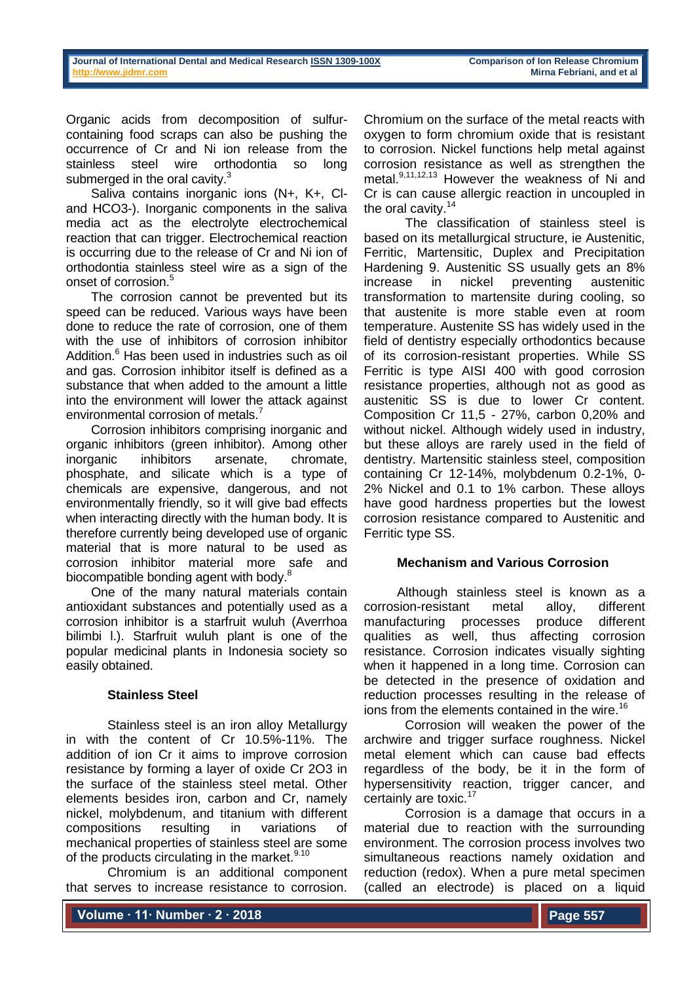Organic acids from decomposition of sulfurcontaining food scraps can also be pushing the occurrence of Cr and Ni ion release from the stainless steel wire orthodontia so long submerged in the oral cavity.<sup>3</sup>

Saliva contains inorganic ions (N+, K+, Cland HCO3-). Inorganic components in the saliva media act as the electrolyte electrochemical reaction that can trigger. Electrochemical reaction is occurring due to the release of Cr and Ni ion of orthodontia stainless steel wire as a sign of the onset of corrosion.<sup>5</sup>

The corrosion cannot be prevented but its speed can be reduced. Various ways have been done to reduce the rate of corrosion, one of them with the use of inhibitors of corrosion inhibitor Addition.<sup>6</sup> Has been used in industries such as oil and gas. Corrosion inhibitor itself is defined as a substance that when added to the amount a little into the environment will lower the attack against environmental corrosion of metals.<sup>7</sup>

Corrosion inhibitors comprising inorganic and organic inhibitors (green inhibitor). Among other inorganic inhibitors arsenate, chromate, phosphate, and silicate which is a type of chemicals are expensive, dangerous, and not environmentally friendly, so it will give bad effects when interacting directly with the human body. It is therefore currently being developed use of organic material that is more natural to be used as corrosion inhibitor material more safe and biocompatible bonding agent with body.<sup>8</sup>

One of the many natural materials contain antioxidant substances and potentially used as a corrosion inhibitor is a starfruit wuluh (Averrhoa bilimbi l.). Starfruit wuluh plant is one of the popular medicinal plants in Indonesia society so easily obtained.

## **Stainless Steel**

Stainless steel is an iron alloy Metallurgy in with the content of Cr 10.5%-11%. The addition of ion Cr it aims to improve corrosion resistance by forming a layer of oxide Cr 2O3 in the surface of the stainless steel metal. Other elements besides iron, carbon and Cr, namely nickel, molybdenum, and titanium with different compositions resulting in variations of mechanical properties of stainless steel are some of the products circulating in the market.<sup>9.10</sup>

Chromium is an additional component that serves to increase resistance to corrosion.

Chromium on the surface of the metal reacts with oxygen to form chromium oxide that is resistant to corrosion. Nickel functions help metal against corrosion resistance as well as strengthen the metal.9,11,12,13 However the weakness of Ni and Cr is can cause allergic reaction in uncoupled in the oral cavity.<sup>14</sup>

The classification of stainless steel is based on its metallurgical structure, ie Austenitic, Ferritic, Martensitic, Duplex and Precipitation Hardening 9. Austenitic SS usually gets an 8% increase in nickel preventing austenitic transformation to martensite during cooling, so that austenite is more stable even at room temperature. Austenite SS has widely used in the field of dentistry especially orthodontics because of its corrosion-resistant properties. While SS Ferritic is type AISI 400 with good corrosion resistance properties, although not as good as austenitic SS is due to lower Cr content. Composition Cr 11,5 - 27%, carbon 0,20% and without nickel. Although widely used in industry, but these alloys are rarely used in the field of dentistry. Martensitic stainless steel, composition containing Cr 12-14%, molybdenum 0.2-1%, 0- 2% Nickel and 0.1 to 1% carbon. These alloys have good hardness properties but the lowest corrosion resistance compared to Austenitic and Ferritic type SS.

## **Mechanism and Various Corrosion**

Although stainless steel is known as a corrosion-resistant metal alloy, different manufacturing processes produce different qualities as well, thus affecting corrosion resistance. Corrosion indicates visually sighting when it happened in a long time. Corrosion can be detected in the presence of oxidation and reduction processes resulting in the release of ions from the elements contained in the wire.<sup>16</sup>

Corrosion will weaken the power of the archwire and trigger surface roughness. Nickel metal element which can cause bad effects regardless of the body, be it in the form of hypersensitivity reaction, trigger cancer, and certainly are toxic.<sup>17</sup>

Corrosion is a damage that occurs in a material due to reaction with the surrounding environment. The corrosion process involves two simultaneous reactions namely oxidation and reduction (redox). When a pure metal specimen (called an electrode) is placed on a liquid

**Volume ∙ 11∙ Number ∙ 2 ∙ 2018**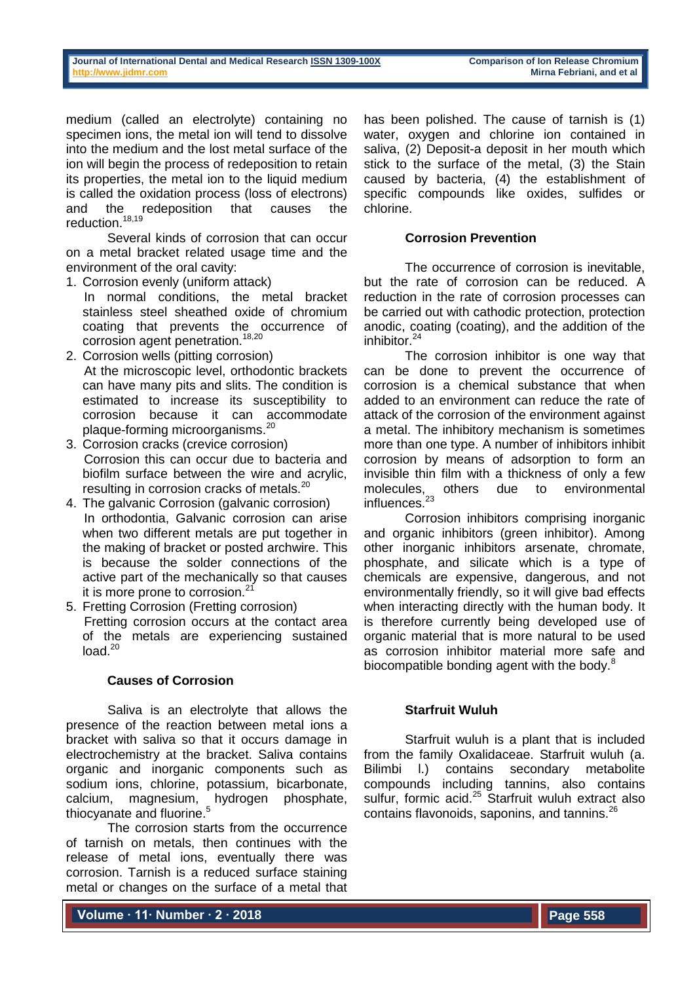medium (called an electrolyte) containing no specimen ions, the metal ion will tend to dissolve into the medium and the lost metal surface of the ion will begin the process of redeposition to retain its properties, the metal ion to the liquid medium is called the oxidation process (loss of electrons) and the redeposition that causes the reduction.<sup>18,19</sup>

Several kinds of corrosion that can occur on a metal bracket related usage time and the environment of the oral cavity:

- 1. Corrosion evenly (uniform attack)
	- In normal conditions, the metal bracket stainless steel sheathed oxide of chromium coating that prevents the occurrence of corrosion agent penetration.<sup>18,20</sup>
- 2. Corrosion wells (pitting corrosion) At the microscopic level, orthodontic brackets can have many pits and slits. The condition is estimated to increase its susceptibility to corrosion because it can accommodate plaque-forming microorganisms.<sup>20</sup>
- 3. Corrosion cracks (crevice corrosion) Corrosion this can occur due to bacteria and biofilm surface between the wire and acrylic, resulting in corrosion cracks of metals.<sup>20</sup>
- 4. The galvanic Corrosion (galvanic corrosion) In orthodontia, Galvanic corrosion can arise when two different metals are put together in the making of bracket or posted archwire. This is because the solder connections of the active part of the mechanically so that causes it is more prone to corrosion.<sup>21</sup>
- 5. Fretting Corrosion (Fretting corrosion) Fretting corrosion occurs at the contact area of the metals are experiencing sustained  $load<sup>20</sup>$

## **Causes of Corrosion**

Saliva is an electrolyte that allows the presence of the reaction between metal ions a bracket with saliva so that it occurs damage in electrochemistry at the bracket. Saliva contains organic and inorganic components such as sodium ions, chlorine, potassium, bicarbonate, calcium, magnesium, hydrogen phosphate, thiocyanate and fluorine.<sup>5</sup>

The corrosion starts from the occurrence of tarnish on metals, then continues with the release of metal ions, eventually there was corrosion. Tarnish is a reduced surface staining metal or changes on the surface of a metal that

has been polished. The cause of tarnish is (1) water, oxygen and chlorine ion contained in saliva, (2) Deposit-a deposit in her mouth which stick to the surface of the metal, (3) the Stain caused by bacteria, (4) the establishment of specific compounds like oxides, sulfides or chlorine.

## **Corrosion Prevention**

The occurrence of corrosion is inevitable, but the rate of corrosion can be reduced. A reduction in the rate of corrosion processes can be carried out with cathodic protection, protection anodic, coating (coating), and the addition of the inhibitor $^{24}$ 

The corrosion inhibitor is one way that can be done to prevent the occurrence of corrosion is a chemical substance that when added to an environment can reduce the rate of attack of the corrosion of the environment against a metal. The inhibitory mechanism is sometimes more than one type. A number of inhibitors inhibit corrosion by means of adsorption to form an invisible thin film with a thickness of only a few molecules, others due to environmental influences.<sup>23</sup>

Corrosion inhibitors comprising inorganic and organic inhibitors (green inhibitor). Among other inorganic inhibitors arsenate, chromate, phosphate, and silicate which is a type of chemicals are expensive, dangerous, and not environmentally friendly, so it will give bad effects when interacting directly with the human body. It is therefore currently being developed use of organic material that is more natural to be used as corrosion inhibitor material more safe and biocompatible bonding agent with the body.<sup>8</sup>

## **Starfruit Wuluh**

Starfruit wuluh is a plant that is included from the family Oxalidaceae. Starfruit wuluh (a. Bilimbi l.) contains secondary metabolite compounds including tannins, also contains sulfur, formic acid.<sup>25</sup> Starfruit wuluh extract also contains flavonoids, saponins, and tannins.<sup>26</sup>

**Volume ∙ 11∙ Number ∙ 2 ∙ 2018**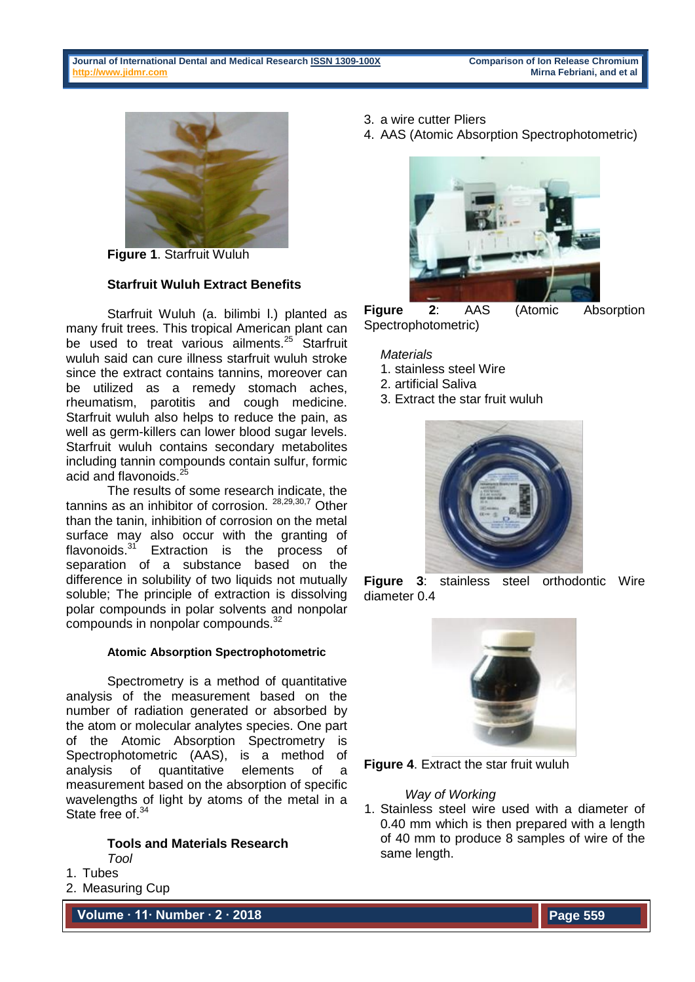

**Figure 1**. Starfruit Wuluh

# **Starfruit Wuluh Extract Benefits**

Starfruit Wuluh (a. bilimbi l.) planted as many fruit trees. This tropical American plant can be used to treat various ailments.<sup>25</sup> Starfruit wuluh said can cure illness starfruit wuluh stroke since the extract contains tannins, moreover can be utilized as a remedy stomach aches, rheumatism, parotitis and cough medicine. Starfruit wuluh also helps to reduce the pain, as well as germ-killers can lower blood sugar levels. Starfruit wuluh contains secondary metabolites including tannin compounds contain sulfur, formic acid and flavonoids.<sup>25</sup>

The results of some research indicate, the tannins as an inhibitor of corrosion. 28,29,30,7 Other than the tanin, inhibition of corrosion on the metal surface may also occur with the granting of flavonoids. $31$  Extraction is the process of separation of a substance based on the difference in solubility of two liquids not mutually soluble; The principle of extraction is dissolving polar compounds in polar solvents and nonpolar compounds in nonpolar compounds.<sup>32</sup>

## **Atomic Absorption Spectrophotometric**

Spectrometry is a method of quantitative analysis of the measurement based on the number of radiation generated or absorbed by the atom or molecular analytes species. One part of the Atomic Absorption Spectrometry is Spectrophotometric (AAS), is a method of analysis of quantitative elements of a measurement based on the absorption of specific wavelengths of light by atoms of the metal in a State free of.<sup>34</sup>

#### **Tools and Materials Research** *Tool*

1. Tubes

2. Measuring Cup

**Volume ∙ 11∙ Number ∙ 2 ∙ 2018**

- 3. a wire cutter Pliers
- 4. AAS (Atomic Absorption Spectrophotometric)



**Figure 2**: AAS (Atomic Absorption Spectrophotometric)

# *Materials*

- 1. stainless steel Wire
- 2. artificial Saliva
- 3. Extract the star fruit wuluh



**Figure 3**: stainless steel orthodontic Wire diameter 0.4



**Figure 4**. Extract the star fruit wuluh

## *Way of Working*

1. Stainless steel wire used with a diameter of 0.40 mm which is then prepared with a length of 40 mm to produce 8 samples of wire of the same length.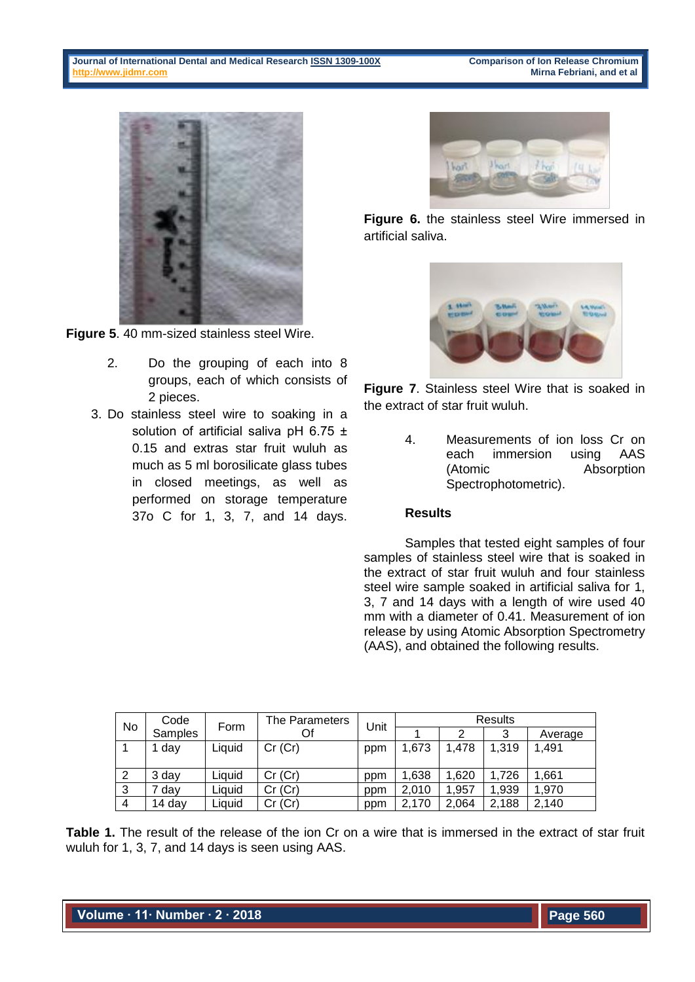

**Figure 5**. 40 mm-sized stainless steel Wire.

- 2. Do the grouping of each into 8 groups, each of which consists of 2 pieces.
- 3. Do stainless steel wire to soaking in a solution of artificial saliva pH  $6.75 \pm$ 0.15 and extras star fruit wuluh as much as 5 ml borosilicate glass tubes in closed meetings, as well as performed on storage temperature 37o C for 1, 3, 7, and 14 days.



**Figure 6.** the stainless steel Wire immersed in artificial saliva.



**Figure 7**. Stainless steel Wire that is soaked in the extract of star fruit wuluh.

> 4. Measurements of ion loss Cr on each immersion using AAS (Atomic Absorption Spectrophotometric).

## **Results**

Samples that tested eight samples of four samples of stainless steel wire that is soaked in the extract of star fruit wuluh and four stainless steel wire sample soaked in artificial saliva for 1, 3, 7 and 14 days with a length of wire used 40 mm with a diameter of 0.41. Measurement of ion release by using Atomic Absorption Spectrometry (AAS), and obtained the following results.

|    | Code    | Form   | The Parameters | Unit | Results |       |       |         |  |  |
|----|---------|--------|----------------|------|---------|-------|-------|---------|--|--|
| No | Samples |        | Of             |      |         |       | 3     | Average |  |  |
|    | day     | Liauid | Cr(Cr)         | ppm  | 1,673   | 1,478 | 1,319 | 1,491   |  |  |
|    |         |        |                |      |         |       |       |         |  |  |
| -2 | 3 dav   | ∟iauid | Cr(Cr)         | ppm  | 1.638   | .620  | 1.726 | 1.661   |  |  |
| -3 | dav     | Liauid | Cr(Cr)         | ppm  | 2.010   | .957  | 1.939 | 1,970   |  |  |
| 4  | 14 day  | Liauid | Cr(Cr)         | ppm  | 2.170   | 2,064 | 2.188 | 2.140   |  |  |

**Table 1.** The result of the release of the ion Cr on a wire that is immersed in the extract of star fruit wuluh for 1, 3, 7, and 14 days is seen using AAS.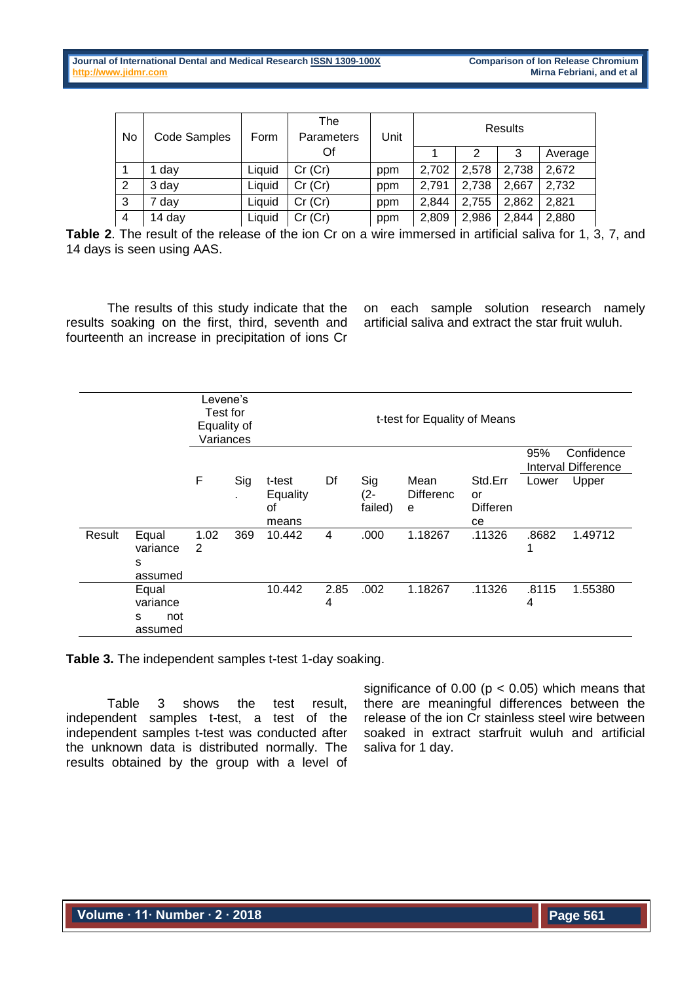| No             | <b>Code Samples</b> | Form   | The<br>Parameters | Unit | <b>Results</b> |       |       |         |  |  |
|----------------|---------------------|--------|-------------------|------|----------------|-------|-------|---------|--|--|
|                |                     |        | Of                |      |                | 2     | 3     | Average |  |  |
|                | 1 day               | Liauid | Cr(Cr)            | ppm  | 2,702          | 2.578 | 2.738 | 2,672   |  |  |
| 2              | 3 day               | Liquid | Cr(Cr)            | ppm  | 2,791          | 2.738 | 2.667 | 2,732   |  |  |
| 3              | 7 day               | Liquid | Cr(Cr)            | ppm  | 2.844          | 2.755 | 2,862 | 2,821   |  |  |
| $\overline{4}$ | 14 day              | Liquid | Cr(Cr)            | ppm  | 2,809          | 2,986 | 2.844 | 2,880   |  |  |

**Table 2**. The result of the release of the ion Cr on a wire immersed in artificial saliva for 1, 3, 7, and 14 days is seen using AAS.

The results of this study indicate that the results soaking on the first, third, seventh and fourteenth an increase in precipitation of ions Cr

on each sample solution research namely artificial saliva and extract the star fruit wuluh.

|        |                                          |           | Levene's<br>Test for<br>t-test for Equality of Means<br>Equality of<br>Variances |                                   |           |                          |                               |                                        |            |                                   |
|--------|------------------------------------------|-----------|----------------------------------------------------------------------------------|-----------------------------------|-----------|--------------------------|-------------------------------|----------------------------------------|------------|-----------------------------------|
|        |                                          |           |                                                                                  |                                   |           |                          |                               |                                        | 95%        | Confidence<br>Interval Difference |
|        |                                          | F         | Sig<br>٠                                                                         | t-test<br>Equality<br>οf<br>means | Df        | Sig<br>$(2 -$<br>failed) | Mean<br><b>Differenc</b><br>e | Std.Err<br>or<br><b>Differen</b><br>ce | Lower      | Upper                             |
| Result | Equal<br>variance<br>s<br>assumed        | 1.02<br>2 | 369                                                                              | 10.442                            | 4         | .000                     | 1.18267                       | .11326                                 | .8682<br>1 | 1.49712                           |
|        | Equal<br>variance<br>not<br>S<br>assumed |           |                                                                                  | 10.442                            | 2.85<br>4 | .002                     | 1.18267                       | .11326                                 | .8115<br>4 | 1.55380                           |

**Table 3.** The independent samples t-test 1-day soaking.

Table 3 shows the test result, independent samples t-test, a test of the independent samples t-test was conducted after the unknown data is distributed normally. The results obtained by the group with a level of significance of  $0.00$  ( $p < 0.05$ ) which means that there are meaningful differences between the release of the ion Cr stainless steel wire between soaked in extract starfruit wuluh and artificial saliva for 1 day.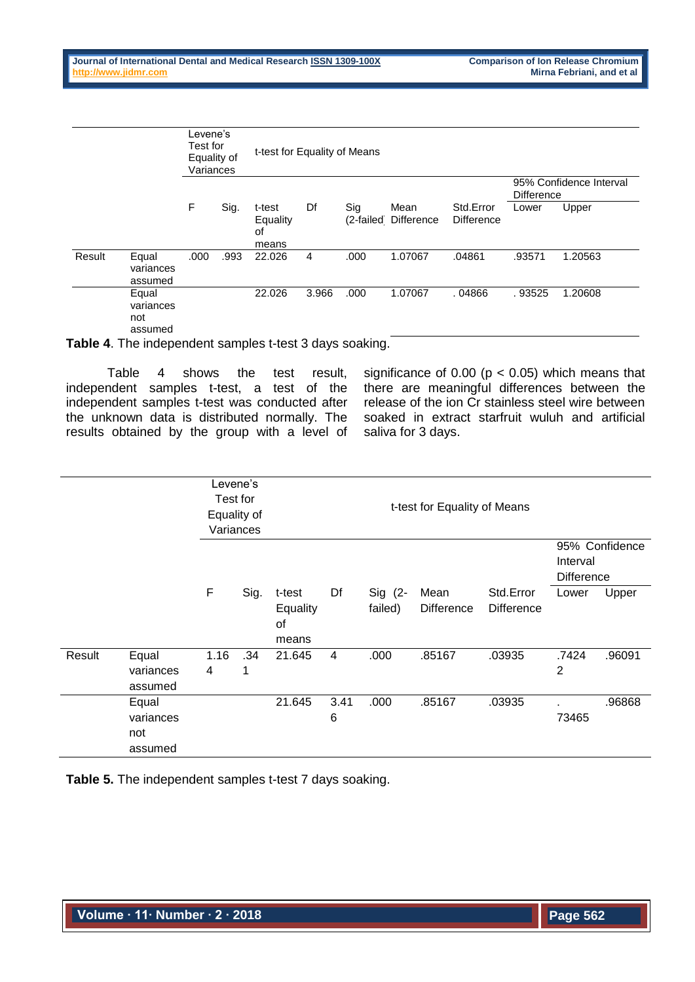|        |                                      | Levene's<br>Test for<br>Equality of<br>Variances |      | t-test for Equality of Means      |       |      |                              |                                |                                              |         |  |
|--------|--------------------------------------|--------------------------------------------------|------|-----------------------------------|-------|------|------------------------------|--------------------------------|----------------------------------------------|---------|--|
|        |                                      |                                                  |      |                                   |       |      |                              |                                | 95% Confidence Interval<br><b>Difference</b> |         |  |
|        |                                      | F                                                | Sig. | t-test<br>Equality<br>οf<br>means | Df    | Sig  | Mean<br>(2-failed Difference | Std.Error<br><b>Difference</b> | Lower                                        | Upper   |  |
| Result | Equal<br>variances<br>assumed        | .000                                             | .993 | 22.026                            | 4     | .000 | 1.07067                      | .04861                         | .93571                                       | 1.20563 |  |
|        | Equal<br>variances<br>not<br>assumed |                                                  |      | 22.026                            | 3.966 | .000 | 1.07067                      | .04866                         | .93525                                       | 1.20608 |  |

**Table 4**. The independent samples t-test 3 days soaking.

Table 4 shows the test result, independent samples t-test, a test of the independent samples t-test was conducted after the unknown data is distributed normally. The results obtained by the group with a level of significance of 0.00 ( $p < 0.05$ ) which means that there are meaningful differences between the release of the ion Cr stainless steel wire between soaked in extract starfruit wuluh and artificial saliva for 3 days.

|        |                                      | Equality of | Levene's<br>Test for<br>Variances |                                   |           |                      |                           |                                |                               |                |
|--------|--------------------------------------|-------------|-----------------------------------|-----------------------------------|-----------|----------------------|---------------------------|--------------------------------|-------------------------------|----------------|
|        |                                      |             |                                   |                                   |           |                      |                           |                                | Interval<br><b>Difference</b> | 95% Confidence |
|        |                                      | F           | Sig.                              | t-test<br>Equality<br>0f<br>means | Df        | $Sig$ (2-<br>failed) | Mean<br><b>Difference</b> | Std.Error<br><b>Difference</b> | Lower                         | Upper          |
| Result | Equal<br>variances<br>assumed        | 1.16<br>4   | .34<br>1                          | 21.645                            | 4         | .000                 | .85167                    | .03935                         | .7424<br>$\overline{2}$       | .96091         |
|        | Equal<br>variances<br>not<br>assumed |             |                                   | 21.645                            | 3.41<br>6 | .000                 | .85167                    | .03935                         | 73465                         | .96868         |

**Table 5.** The independent samples t-test 7 days soaking.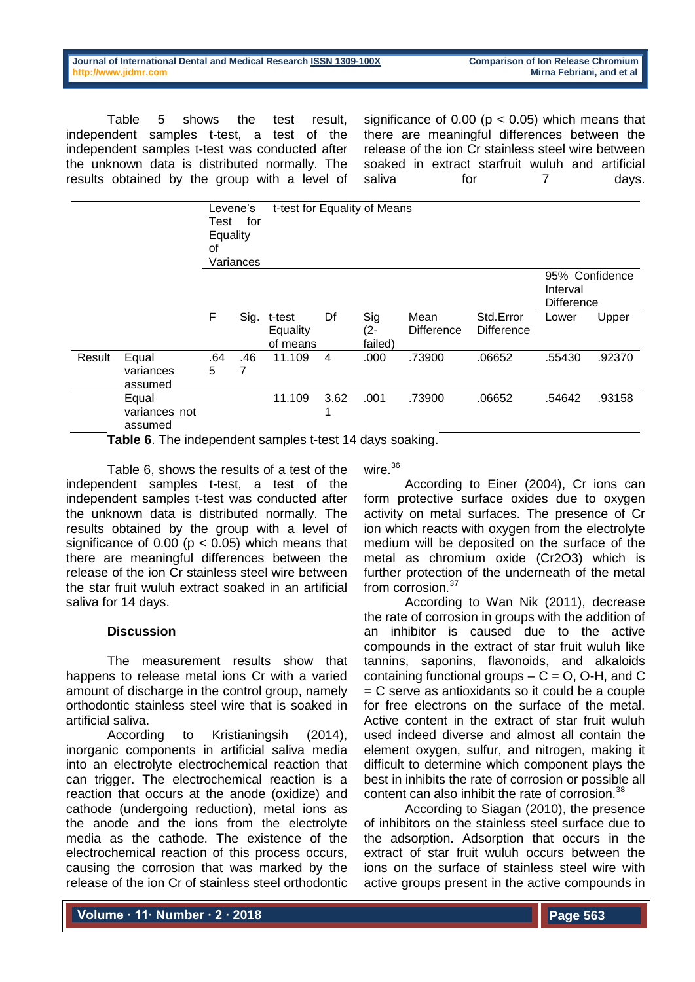Table 5 shows the test result, independent samples t-test, a test of the independent samples t-test was conducted after the unknown data is distributed normally. The results obtained by the group with a level of significance of  $0.00$  ( $p < 0.05$ ) which means that there are meaningful differences between the release of the ion Cr stainless steel wire between soaked in extract starfruit wuluh and artificial saliva for 7 days.

|        |                                   | Levene's<br>for<br>Test<br>Equality<br>οf<br>Variances |          | t-test for Equality of Means   |      |                       |                    |                                |                               |                |
|--------|-----------------------------------|--------------------------------------------------------|----------|--------------------------------|------|-----------------------|--------------------|--------------------------------|-------------------------------|----------------|
|        |                                   |                                                        |          |                                |      |                       |                    |                                | Interval<br><b>Difference</b> | 95% Confidence |
|        |                                   | F                                                      | Sig.     | t-test<br>Equality<br>of means | Df   | Sig<br>(2-<br>failed) | Mean<br>Difference | Std.Error<br><b>Difference</b> | Lower                         | Upper          |
| Result | Equal<br>variances<br>assumed     | .64<br>5                                               | .46<br>7 | 11.109                         | 4    | .000                  | .73900             | .06652                         | .55430                        | .92370         |
|        | Equal<br>variances not<br>assumed |                                                        |          | 11.109                         | 3.62 | .001                  | .73900             | .06652                         | .54642                        | .93158         |

**Table 6**. The independent samples t-test 14 days soaking.

Table 6, shows the results of a test of the independent samples t-test, a test of the independent samples t-test was conducted after the unknown data is distributed normally. The results obtained by the group with a level of significance of  $0.00$  ( $p < 0.05$ ) which means that there are meaningful differences between the release of the ion Cr stainless steel wire between the star fruit wuluh extract soaked in an artificial saliva for 14 days.

## **Discussion**

The measurement results show that happens to release metal ions Cr with a varied amount of discharge in the control group, namely orthodontic stainless steel wire that is soaked in artificial saliva.

According to Kristianingsih (2014), inorganic components in artificial saliva media into an electrolyte electrochemical reaction that can trigger. The electrochemical reaction is a reaction that occurs at the anode (oxidize) and cathode (undergoing reduction), metal ions as the anode and the ions from the electrolyte media as the cathode. The existence of the electrochemical reaction of this process occurs, causing the corrosion that was marked by the release of the ion Cr of stainless steel orthodontic

wire.<sup>36</sup>

According to Einer (2004), Cr ions can form protective surface oxides due to oxygen activity on metal surfaces. The presence of Cr ion which reacts with oxygen from the electrolyte medium will be deposited on the surface of the metal as chromium oxide (Cr2O3) which is further protection of the underneath of the metal from corrosion.<sup>37</sup>

According to Wan Nik (2011), decrease the rate of corrosion in groups with the addition of an inhibitor is caused due to the active compounds in the extract of star fruit wuluh like tannins, saponins, flavonoids, and alkaloids containing functional groups  $- C = O$ , O-H, and C  $=$  C serve as antioxidants so it could be a couple for free electrons on the surface of the metal. Active content in the extract of star fruit wuluh used indeed diverse and almost all contain the element oxygen, sulfur, and nitrogen, making it difficult to determine which component plays the best in inhibits the rate of corrosion or possible all content can also inhibit the rate of corrosion.<sup>38</sup>

According to Siagan (2010), the presence of inhibitors on the stainless steel surface due to the adsorption. Adsorption that occurs in the extract of star fruit wuluh occurs between the ions on the surface of stainless steel wire with active groups present in the active compounds in

**Volume ∙ 11∙ Number ∙ 2 ∙ 2018**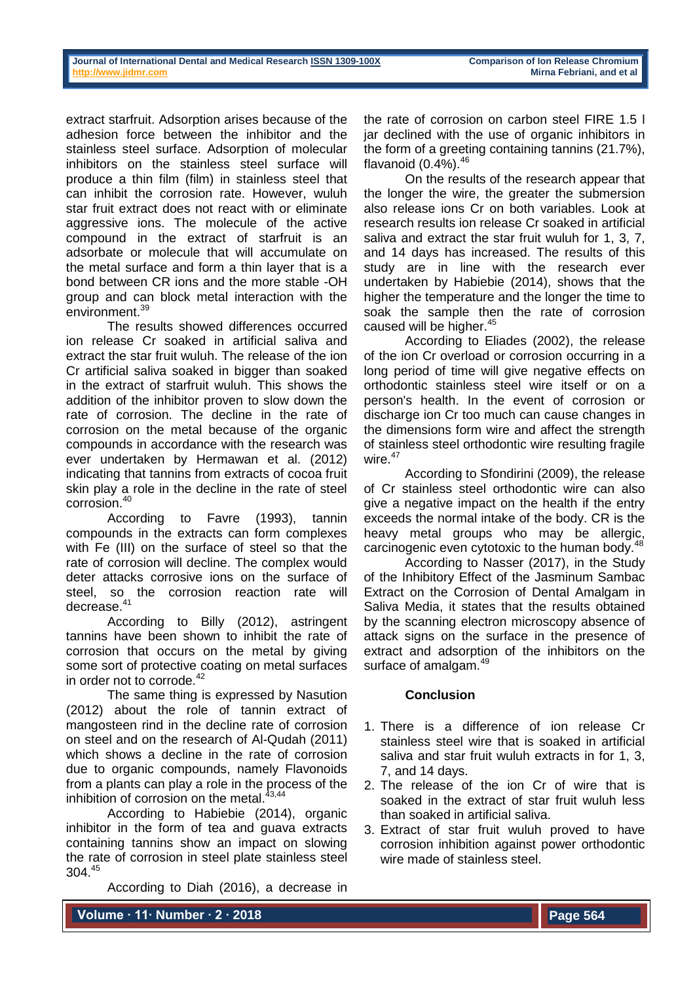| Journal of International Dental and Medical Research ISSN 1309-100X |  |  |  |
|---------------------------------------------------------------------|--|--|--|
| http://www.iidmr.com                                                |  |  |  |

extract starfruit. Adsorption arises because of the adhesion force between the inhibitor and the stainless steel surface. Adsorption of molecular inhibitors on the stainless steel surface will produce a thin film (film) in stainless steel that can inhibit the corrosion rate. However, wuluh star fruit extract does not react with or eliminate aggressive ions. The molecule of the active compound in the extract of starfruit is an adsorbate or molecule that will accumulate on the metal surface and form a thin layer that is a bond between CR ions and the more stable -OH group and can block metal interaction with the environment.<sup>39</sup>

The results showed differences occurred ion release Cr soaked in artificial saliva and extract the star fruit wuluh. The release of the ion Cr artificial saliva soaked in bigger than soaked in the extract of starfruit wuluh. This shows the addition of the inhibitor proven to slow down the rate of corrosion. The decline in the rate of corrosion on the metal because of the organic compounds in accordance with the research was ever undertaken by Hermawan et al. (2012) indicating that tannins from extracts of cocoa fruit skin play a role in the decline in the rate of steel corrosion.<sup>40</sup>

According to Favre (1993), tannin compounds in the extracts can form complexes with Fe (III) on the surface of steel so that the rate of corrosion will decline. The complex would deter attacks corrosive ions on the surface of steel, so the corrosion reaction rate will decrease.<sup>41</sup>

According to Billy (2012), astringent tannins have been shown to inhibit the rate of corrosion that occurs on the metal by giving some sort of protective coating on metal surfaces in order not to corrode.<sup>42</sup>

The same thing is expressed by Nasution (2012) about the role of tannin extract of mangosteen rind in the decline rate of corrosion on steel and on the research of Al-Qudah (2011) which shows a decline in the rate of corrosion due to organic compounds, namely Flavonoids from a plants can play a role in the process of the inhibition of corrosion on the metal. $^{43,44}$ 

According to Habiebie (2014), organic inhibitor in the form of tea and guava extracts containing tannins show an impact on slowing the rate of corrosion in steel plate stainless steel 304.<sup>45</sup>

According to Diah (2016), a decrease in

the rate of corrosion on carbon steel FIRE 1.5 l iar declined with the use of organic inhibitors in the form of a greeting containing tannins (21.7%), flavanoid  $(0.4\%)^{46}$ 

On the results of the research appear that the longer the wire, the greater the submersion also release ions Cr on both variables. Look at research results ion release Cr soaked in artificial saliva and extract the star fruit wuluh for 1, 3, 7, and 14 days has increased. The results of this study are in line with the research ever undertaken by Habiebie (2014), shows that the higher the temperature and the longer the time to soak the sample then the rate of corrosion caused will be higher.<sup>45</sup>

According to Eliades (2002), the release of the ion Cr overload or corrosion occurring in a long period of time will give negative effects on orthodontic stainless steel wire itself or on a person's health. In the event of corrosion or discharge ion Cr too much can cause changes in the dimensions form wire and affect the strength of stainless steel orthodontic wire resulting fragile wire. $47$ 

According to Sfondirini (2009), the release of Cr stainless steel orthodontic wire can also give a negative impact on the health if the entry exceeds the normal intake of the body. CR is the heavy metal groups who may be allergic, carcinogenic even cytotoxic to the human body.<sup>48</sup>

According to Nasser (2017), in the Study of the Inhibitory Effect of the Jasminum Sambac Extract on the Corrosion of Dental Amalgam in Saliva Media, it states that the results obtained by the scanning electron microscopy absence of attack signs on the surface in the presence of extract and adsorption of the inhibitors on the surface of amalgam.<sup>49</sup>

## **Conclusion**

- 1. There is a difference of ion release Cr stainless steel wire that is soaked in artificial saliva and star fruit wuluh extracts in for 1, 3, 7, and 14 days.
- 2. The release of the ion Cr of wire that is soaked in the extract of star fruit wuluh less than soaked in artificial saliva.
- 3. Extract of star fruit wuluh proved to have corrosion inhibition against power orthodontic wire made of stainless steel.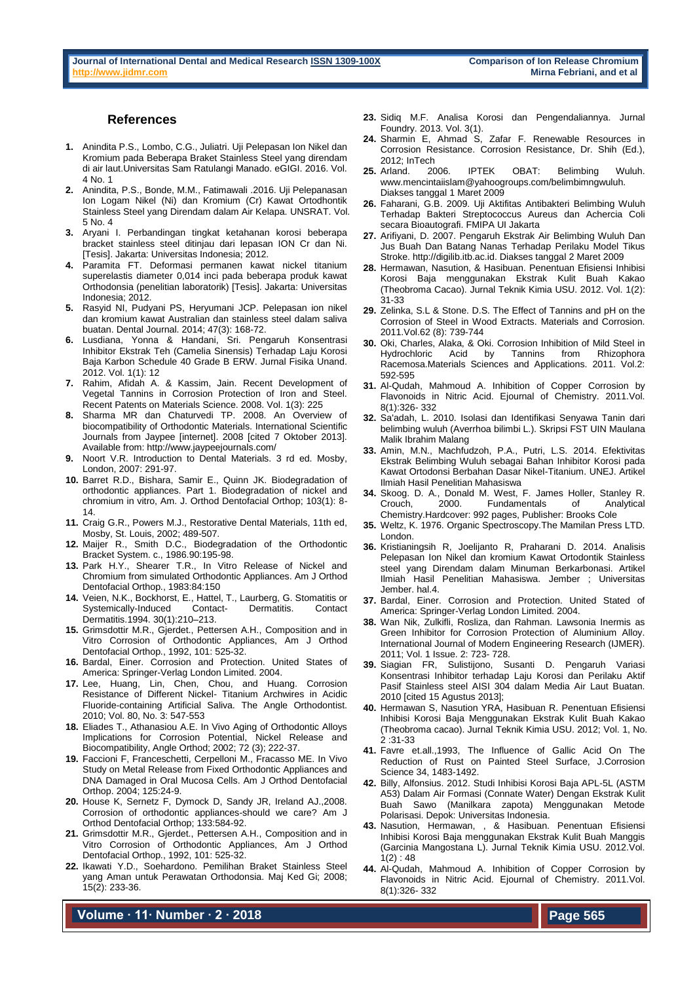#### **References**

- **1.** Anindita P.S., Lombo, C.G., Juliatri. Uji Pelepasan Ion Nikel dan Kromium pada Beberapa Braket Stainless Steel yang direndam di air laut.Universitas Sam Ratulangi Manado. eGIGI. 2016. Vol. 4 No. 1
- **2.** Anindita, P.S., Bonde, M.M., Fatimawali .2016. Uji Pelepanasan Ion Logam Nikel (Ni) dan Kromium (Cr) Kawat Ortodhontik Stainless Steel yang Direndam dalam Air Kelapa. UNSRAT. Vol. 5 No. 4
- **3.** Aryani I. Perbandingan tingkat ketahanan korosi beberapa bracket stainless steel ditinjau dari lepasan ION Cr dan Ni. [Tesis]. Jakarta: Universitas Indonesia; 2012.
- **4.** Paramita FT. Deformasi permanen kawat nickel titanium superelastis diameter 0,014 inci pada beberapa produk kawat Orthodonsia (penelitian laboratorik) [Tesis]. Jakarta: Universitas Indonesia; 2012.
- **5.** Rasyid NI, Pudyani PS, Heryumani JCP. Pelepasan ion nikel dan kromium kawat Australian dan stainless steel dalam saliva buatan. Dental Journal. 2014; 47(3): 168-72.
- **6.** Lusdiana, Yonna & Handani, Sri. Pengaruh Konsentrasi Inhibitor Ekstrak Teh (Camelia Sinensis) Terhadap Laju Korosi Baja Karbon Schedule 40 Grade B ERW. Jurnal Fisika Unand. 2012. Vol. 1(1): 12
- **7.** Rahim, Afidah A. & Kassim, Jain. Recent Development of Vegetal Tannins in Corrosion Protection of Iron and Steel. Recent Patents on Materials Science. 2008. Vol. 1(3): 225
- **8.** Sharma MR dan Chaturvedi TP. 2008. An Overview of biocompatibility of Orthodontic Materials. International Scientific Journals from Jaypee [internet]. 2008 [cited 7 Oktober 2013]. Available from: http://www.jaypeejournals.com/
- **9.** Noort V.R. Introduction to Dental Materials. 3 rd ed. Mosby, London, 2007: 291-97.
- **10.** Barret R.D., Bishara, Samir E., Quinn JK. Biodegradation of orthodontic appliances. Part 1. Biodegradation of nickel and chromium in vitro, Am. J. Orthod Dentofacial Orthop; 103(1): 8- 14.
- **11.** Craig G.R., Powers M.J., Restorative Dental Materials, 11th ed, Mosby, St. Louis, 2002; 489-507.
- **12.** Maijer R., Smith D.C., Biodegradation of the Orthodontic Bracket System. c., 1986.90:195-98.
- **13.** Park H.Y., Shearer T.R., In Vitro Release of Nickel and Chromium from simulated Orthodontic Appliances. Am J Orthod Dentofacial Orthop., 1983:84:150
- **14.** Veien, N.K., Bockhorst, E., Hattel, T., Laurberg, G. Stomatitis or Systemically-Induced Contact- Dermatitis. Contact Dermatitis.1994. 30(1):210–213.
- **15.** Grimsdottir M.R., Gjerdet., Pettersen A.H., Composition and in Vitro Corrosion of Orthodontic Appliances, Am J Orthod Dentofacial Orthop., 1992, 101: 525-32.
- **16.** Bardal, Einer. Corrosion and Protection. United States of America: Springer-Verlag London Limited. 2004.
- **17.** Lee, Huang, Lin, Chen, Chou, and Huang. Corrosion Resistance of Different Nickel- Titanium Archwires in Acidic Fluoride-containing Artificial Saliva. The Angle Orthodontist. 2010; Vol. 80, No. 3: 547-553
- **18.** Eliades T., Athanasiou A.E. In Vivo Aging of Orthodontic Alloys Implications for Corrosion Potential, Nickel Release and Biocompatibility, Angle Orthod; 2002; 72 (3); 222-37.
- **19.** Faccioni F, Franceschetti, Cerpelloni M., Fracasso ME. In Vivo Study on Metal Release from Fixed Orthodontic Appliances and DNA Damaged in Oral Mucosa Cells. Am J Orthod Dentofacial Orthop. 2004; 125:24-9.
- **20.** House K, Sernetz F, Dymock D, Sandy JR, Ireland AJ.,2008. Corrosion of orthodontic appliances-should we care? Am J Orthod Dentofacial Orthop; 133:584-92.
- **21.** Grimsdottir M.R., Gjerdet., Pettersen A.H., Composition and in Vitro Corrosion of Orthodontic Appliances, Am J Orthod Dentofacial Orthop., 1992, 101: 525-32.
- **22.** Ikawati Y.D., Soehardono. Pemilihan Braket Stainless Steel yang Aman untuk Perawatan Orthodonsia. Maj Ked Gi; 2008; 15(2): 233-36.

**Volume ∙ 11∙ Number ∙ 2 ∙ 2018**

- **23.** Sidiq M.F. Analisa Korosi dan Pengendaliannya. Jurnal Foundry. 2013. Vol. 3(1).
- **24.** Sharmin E, Ahmad S, Zafar F. Renewable Resources in Corrosion Resistance. Corrosion Resistance, Dr. Shih (Ed.), 2012; InTech
- **25.** Arland. 2006. IPTEK OBAT: Belimbing Wuluh. www.mencintaiislam@yahoogroups.com/belimbimngwuluh. Diakses tanggal 1 Maret 2009
- **26.** Faharani, G.B. 2009. Uji Aktifitas Antibakteri Belimbing Wuluh Terhadap Bakteri Streptococcus Aureus dan Achercia Coli secara Bioautografi. FMIPA UI Jakarta
- **27.** Arifiyani, D. 2007. Pengaruh Ekstrak Air Belimbing Wuluh Dan Jus Buah Dan Batang Nanas Terhadap Perilaku Model Tikus Stroke. http://digilib.itb.ac.id. Diakses tanggal 2 Maret 2009
- **28.** Hermawan, Nasution, & Hasibuan. Penentuan Efisiensi Inhibisi Korosi Baja menggunakan Ekstrak Kulit Buah Kakao (Theobroma Cacao). Jurnal Teknik Kimia USU. 2012. Vol. 1(2): 31-33
- **29.** Zelinka, S.L & Stone. D.S. The Effect of Tannins and pH on the Corrosion of Steel in Wood Extracts. Materials and Corrosion. 2011.Vol.62 (8): 739-744
- **30.** Oki, Charles, Alaka, & Oki. Corrosion Inhibition of Mild Steel in<br>Hydrochloric Acid by Tannins from Rhizophora Hydrochloric Racemosa.Materials Sciences and Applications. 2011. Vol.2: 592-595
- **31.** Al-Qudah, Mahmoud A. Inhibition of Copper Corrosion by Flavonoids in Nitric Acid. Ejournal of Chemistry. 2011.Vol. 8(1):326- 332
- **32.** Sa'adah, L. 2010. Isolasi dan Identifikasi Senyawa Tanin dari belimbing wuluh (Averrhoa bilimbi L.). Skripsi FST UIN Maulana Malik Ibrahim Malang
- **33.** Amin, M.N., Machfudzoh, P.A., Putri, L.S. 2014. Efektivitas Ekstrak Belimbing Wuluh sebagai Bahan Inhibitor Korosi pada Kawat Ortodonsi Berbahan Dasar Nikel-Titanium. UNEJ. Artikel Ilmiah Hasil Penelitian Mahasiswa
- **34.** Skoog. D. A., Donald M. West, F. James Holler, Stanley R. Crouch, 2000. Fundamentals of Analytical Chemistry.Hardcover: 992 pages, Publisher: Brooks Cole
- **35.** Weltz, K. 1976. Organic Spectroscopy.The Mamilan Press LTD. London.
- **36.** Kristianingsih R, Joelijanto R, Praharani D. 2014. Analisis Pelepasan Ion Nikel dan kromium Kawat Ortodontik Stainless steel yang Direndam dalam Minuman Berkarbonasi. Artikel Ilmiah Hasil Penelitian Mahasiswa. Jember ; Universitas Jember. hal.4.
- **37.** Bardal, Einer. Corrosion and Protection. United Stated of America: Springer-Verlag London Limited. 2004.
- **38.** Wan Nik, Zulkifli, Rosliza, dan Rahman. Lawsonia Inermis as Green Inhibitor for Corrosion Protection of Aluminium Alloy. International Journal of Modern Engineering Research (IJMER). 2011; Vol. 1 Issue. 2: 723- 728.
- **39.** Siagian FR, Sulistijono, Susanti D. Pengaruh Variasi Konsentrasi Inhibitor terhadap Laju Korosi dan Perilaku Aktif Pasif Stainless steel AISI 304 dalam Media Air Laut Buatan. 2010 [cited 15 Agustus 2013];
- **40.** Hermawan S, Nasution YRA, Hasibuan R. Penentuan Efisiensi Inhibisi Korosi Baja Menggunakan Ekstrak Kulit Buah Kakao (Theobroma cacao). Jurnal Teknik Kimia USU. 2012; Vol. 1, No. 2 :31-33
- **41.** Favre et.all.,1993, The Influence of Gallic Acid On The Reduction of Rust on Painted Steel Surface, J.Corrosion Science 34, 1483-1492.
- **42.** Billy, Alfonsius. 2012. Studi Inhibisi Korosi Baja APL-5L (ASTM A53) Dalam Air Formasi (Connate Water) Dengan Ekstrak Kulit Buah Sawo (Manilkara zapota) Menggunakan Metode Polarisasi. Depok: Universitas Indonesia.
- **43.** Nasution, Hermawan, , & Hasibuan. Penentuan Efisiensi Inhibisi Korosi Baja menggunakan Ekstrak Kulit Buah Manggis (Garcinia Mangostana L). Jurnal Teknik Kimia USU. 2012.Vol.  $1(2) : 48$
- **44.** Al-Qudah, Mahmoud A. Inhibition of Copper Corrosion by Flavonoids in Nitric Acid. Ejournal of Chemistry. 2011.Vol. 8(1):326- 332